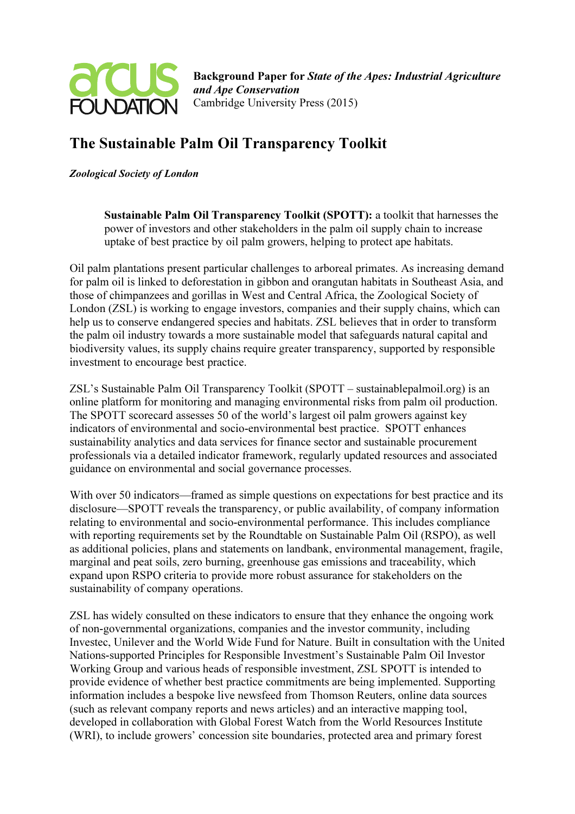

## The Sustainable Palm Oil Transparency Toolkit

Zoological Society of London

Sustainable Palm Oil Transparency Toolkit (SPOTT): a toolkit that harnesses the power of investors and other stakeholders in the palm oil supply chain to increase uptake of best practice by oil palm growers, helping to protect ape habitats.

Oil palm plantations present particular challenges to arboreal primates. As increasing demand for palm oil is linked to deforestation in gibbon and orangutan habitats in Southeast Asia, and those of chimpanzees and gorillas in West and Central Africa, the Zoological Society of London (ZSL) is working to engage investors, companies and their supply chains, which can help us to conserve endangered species and habitats. ZSL believes that in order to transform the palm oil industry towards a more sustainable model that safeguards natural capital and biodiversity values, its supply chains require greater transparency, supported by responsible investment to encourage best practice.

ZSL's Sustainable Palm Oil Transparency Toolkit (SPOTT – sustainablepalmoil.org) is an online platform for monitoring and managing environmental risks from palm oil production. The SPOTT scorecard assesses 50 of the world's largest oil palm growers against key indicators of environmental and socio-environmental best practice. SPOTT enhances sustainability analytics and data services for finance sector and sustainable procurement professionals via a detailed indicator framework, regularly updated resources and associated guidance on environmental and social governance processes.

With over 50 indicators—framed as simple questions on expectations for best practice and its disclosure—SPOTT reveals the transparency, or public availability, of company information relating to environmental and socio-environmental performance. This includes compliance with reporting requirements set by the Roundtable on Sustainable Palm Oil (RSPO), as well as additional policies, plans and statements on landbank, environmental management, fragile, marginal and peat soils, zero burning, greenhouse gas emissions and traceability, which expand upon RSPO criteria to provide more robust assurance for stakeholders on the sustainability of company operations.

ZSL has widely consulted on these indicators to ensure that they enhance the ongoing work of non-governmental organizations, companies and the investor community, including Investec, Unilever and the World Wide Fund for Nature. Built in consultation with the United Nations-supported Principles for Responsible Investment's Sustainable Palm Oil Investor Working Group and various heads of responsible investment, ZSL SPOTT is intended to provide evidence of whether best practice commitments are being implemented. Supporting information includes a bespoke live newsfeed from Thomson Reuters, online data sources (such as relevant company reports and news articles) and an interactive mapping tool, developed in collaboration with Global Forest Watch from the World Resources Institute (WRI), to include growers' concession site boundaries, protected area and primary forest